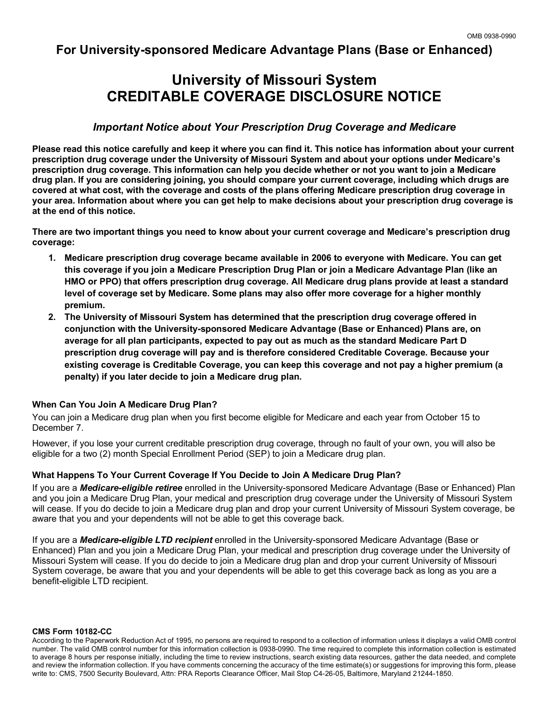## **For University-sponsored Medicare Advantage Plans (Base or Enhanced)**

# **University of Missouri System CREDITABLE COVERAGE DISCLOSURE NOTICE**

## *Important Notice about Your Prescription Drug Coverage and Medicare*

**Please read this notice carefully and keep it where you can find it. This notice has information about your current prescription drug coverage under the University of Missouri System and about your options under Medicare's prescription drug coverage. This information can help you decide whether or not you want to join a Medicare drug plan. If you are considering joining, you should compare your current coverage, including which drugs are covered at what cost, with the coverage and costs of the plans offering Medicare prescription drug coverage in your area. Information about where you can get help to make decisions about your prescription drug coverage is at the end of this notice.** 

**There are two important things you need to know about your current coverage and Medicare's prescription drug coverage:** 

- **1. Medicare prescription drug coverage became available in 2006 to everyone with Medicare. You can get this coverage if you join a Medicare Prescription Drug Plan or join a Medicare Advantage Plan (like an HMO or PPO) that offers prescription drug coverage. All Medicare drug plans provide at least a standard level of coverage set by Medicare. Some plans may also offer more coverage for a higher monthly premium.**
- **2. The University of Missouri System has determined that the prescription drug coverage offered in conjunction with the University-sponsored Medicare Advantage (Base or Enhanced) Plans are, on average for all plan participants, expected to pay out as much as the standard Medicare Part D prescription drug coverage will pay and is therefore considered Creditable Coverage. Because your existing coverage is Creditable Coverage, you can keep this coverage and not pay a higher premium (a penalty) if you later decide to join a Medicare drug plan.**

## **When Can You Join A Medicare Drug Plan?**

You can join a Medicare drug plan when you first become eligible for Medicare and each year from October 15 to December 7.

However, if you lose your current creditable prescription drug coverage, through no fault of your own, you will also be eligible for a two (2) month Special Enrollment Period (SEP) to join a Medicare drug plan.

## **What Happens To Your Current Coverage If You Decide to Join A Medicare Drug Plan?**

If you are a *Medicare-eligible retiree* enrolled in the University-sponsored Medicare Advantage (Base or Enhanced) Plan and you join a Medicare Drug Plan, your medical and prescription drug coverage under the University of Missouri System will cease. If you do decide to join a Medicare drug plan and drop your current University of Missouri System coverage, be aware that you and your dependents will not be able to get this coverage back.

If you are a *Medicare-eligible LTD recipient* enrolled in the University-sponsored Medicare Advantage (Base or Enhanced) Plan and you join a Medicare Drug Plan, your medical and prescription drug coverage under the University of Missouri System will cease. If you do decide to join a Medicare drug plan and drop your current University of Missouri System coverage, be aware that you and your dependents will be able to get this coverage back as long as you are a benefit-eligible LTD recipient.

#### **CMS Form 10182-CC**

According to the Paperwork Reduction Act of 1995, no persons are required to respond to a collection of information unless it displays a valid OMB control number. The valid OMB control number for this information collection is 0938-0990. The time required to complete this information collection is estimated to average 8 hours per response initially, including the time to review instructions, search existing data resources, gather the data needed, and complete and review the information collection. If you have comments concerning the accuracy of the time estimate(s) or suggestions for improving this form, please write to: CMS, 7500 Security Boulevard, Attn: PRA Reports Clearance Officer, Mail Stop C4-26-05, Baltimore, Maryland 21244-1850.